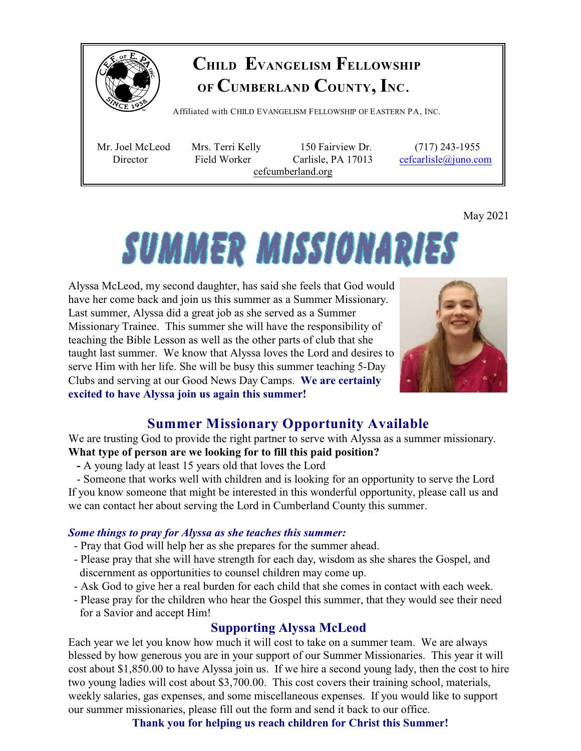

# **CHILD EVANGELISM FELLOWSHIP OF CUMBERLAND COUNTY, INC**.

Affiliated with <sup>C</sup>HILD <sup>E</sup>VANGELISM <sup>F</sup>ELLOWSHIP OF <sup>E</sup>ASTERN PA, <sup>I</sup>NC.

 Mr. Joel McLeod Mrs. Terri Kelly 150 Fairview Dr. (717) 243-1955 Director Field Worker Carlisle, PA 17013 [cefcarlisle@juno.com](mailto:cefcarlisle@juno.com) cefcumberland.org

May 2021

# **SUMMER MISSIONARIES**

Alyssa McLeod, my second daughter, has said she feels that God would have her come back and join us this summer as a Summer Missionary. Last summer, Alyssa did a great job as she served as a Summer Missionary Trainee. This summer she will have the responsibility of teaching the Bible Lesson as well as the other parts of club that she taught last summer. We know that Alyssa loves the Lord and desires to serve Him with her life. She will be busy this summer teaching 5-Day Clubs and serving at our Good News Day Camps. **We are certainly excited to have Alyssa join us again this summer!**



# **Summer Missionary Opportunity Available**

We are trusting God to provide the right partner to serve with Alyssa as a summer missionary. **What type of person are we looking for to fill this paid position?** 

 **-** A young lady at least 15 years old that loves the Lord

 - Someone that works well with children and is looking for an opportunity to serve the Lord If you know someone that might be interested in this wonderful opportunity, please call us and we can contact her about serving the Lord in Cumberland County this summer.

### *Some things to pray for Alyssa as she teaches this summer:*

- Pray that God will help her as she prepares for the summer ahead.
- Please pray that she will have strength for each day, wisdom as she shares the Gospel, and discernment as opportunities to counsel children may come up.
- Ask God to give her a real burden for each child that she comes in contact with each week.
- Please pray for the children who hear the Gospel this summer, that they would see their need for a Savior and accept Him!

## **Supporting Alyssa McLeod**

Each year we let you know how much it will cost to take on a summer team. We are always blessed by how generous you are in your support of our Summer Missionaries. This year it will cost about \$1,850.00 to have Alyssa join us. If we hire a second young lady, then the cost to hire two young ladies will cost about \$3,700.00. This cost covers their training school, materials, weekly salaries, gas expenses, and some miscellaneous expenses. If you would like to support our summer missionaries, please fill out the form and send it back to our office.

**Thank you for helping us reach children for Christ this Summer!**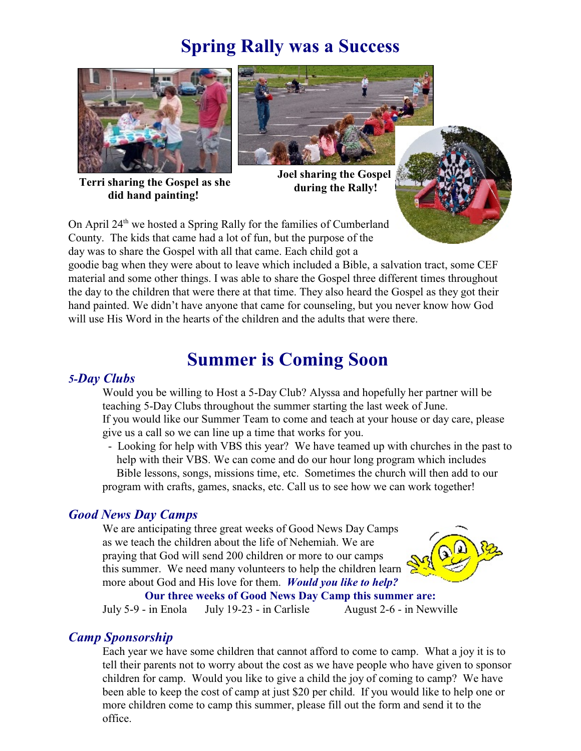# **Spring Rally was a Success**



**Terri sharing the Gospel as she did hand painting!** 



**Joel sharing the Gospel during the Rally!**



On April  $24<sup>th</sup>$  we hosted a Spring Rally for the families of Cumberland County. The kids that came had a lot of fun, but the purpose of the day was to share the Gospel with all that came. Each child got a

goodie bag when they were about to leave which included a Bible, a salvation tract, some CEF material and some other things. I was able to share the Gospel three different times throughout the day to the children that were there at that time. They also heard the Gospel as they got their hand painted. We didn't have anyone that came for counseling, but you never know how God will use His Word in the hearts of the children and the adults that were there.

# **Summer is Coming Soon**

#### *5-Day Clubs*

Would you be willing to Host a 5-Day Club? Alyssa and hopefully her partner will be teaching 5-Day Clubs throughout the summer starting the last week of June. If you would like our Summer Team to come and teach at your house or day care, please give us a call so we can line up a time that works for you.

 - Looking for help with VBS this year? We have teamed up with churches in the past to help with their VBS. We can come and do our hour long program which includes Bible lessons, songs, missions time, etc. Sometimes the church will then add to our program with crafts, games, snacks, etc. Call us to see how we can work together!

#### *Good News Day Camps*

We are anticipating three great weeks of Good News Day Camps as we teach the children about the life of Nehemiah. We are praying that God will send 200 children or more to our camps this summer. We need many volunteers to help the children learn more about God and His love for them. *Would you like to help?*



**Our three weeks of Good News Day Camp this summer are:**

July 5-9 - in Enola July 19-23 - in Carlisle August 2-6 - in Newville

### *Camp Sponsorship*

Each year we have some children that cannot afford to come to camp. What a joy it is to tell their parents not to worry about the cost as we have people who have given to sponsor children for camp. Would you like to give a child the joy of coming to camp? We have been able to keep the cost of camp at just \$20 per child. If you would like to help one or more children come to camp this summer, please fill out the form and send it to the office.